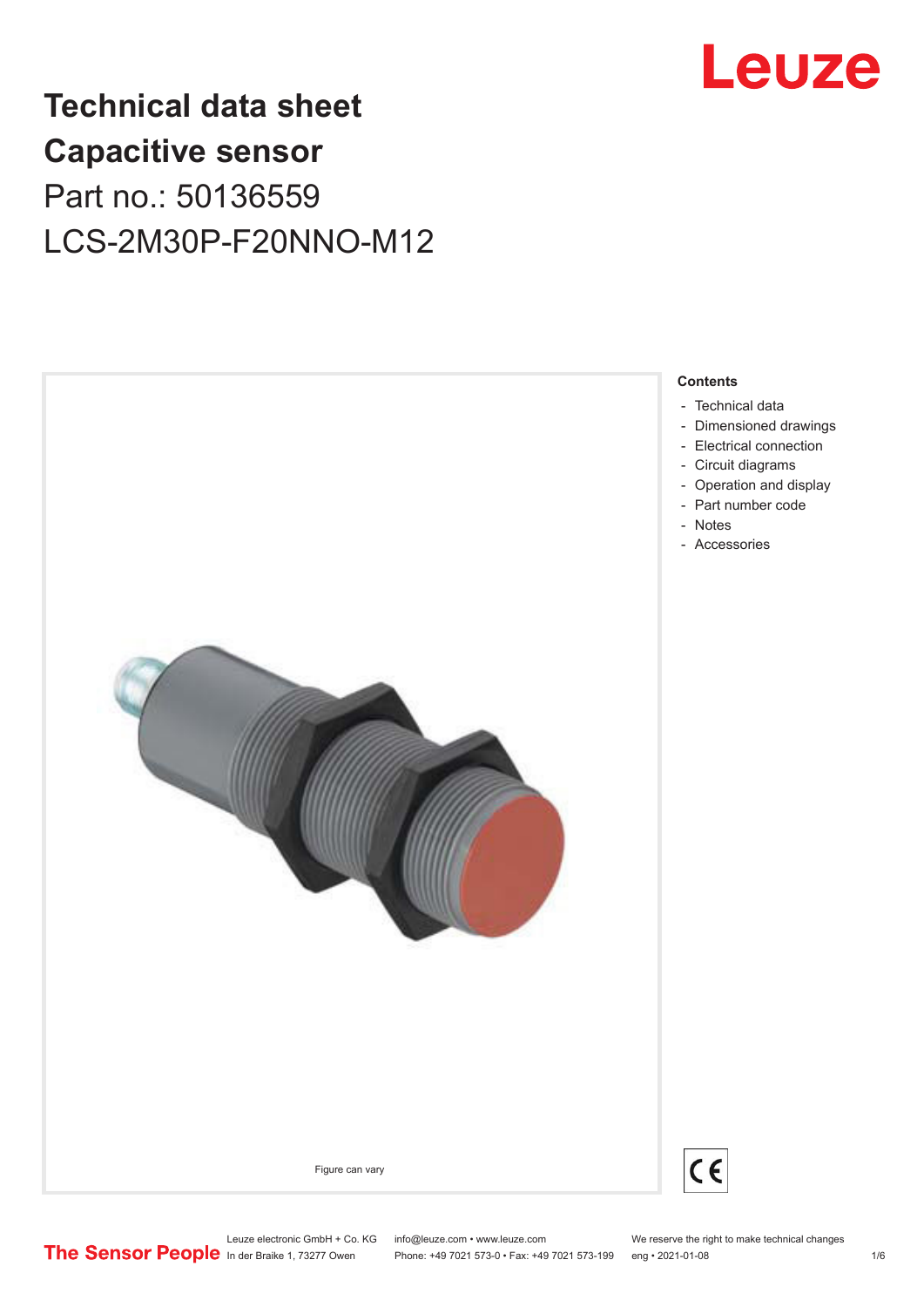

## **Technical data sheet Capacitive sensor** Part no.: 50136559 LCS-2M30P-F20NNO-M12



Leuze electronic GmbH + Co. KG info@leuze.com • www.leuze.com We reserve the right to make technical changes<br>
The Sensor People in der Braike 1, 73277 Owen Phone: +49 7021 573-0 • Fax: +49 7021 573-199 eng • 2021-01-08 Phone: +49 7021 573-0 • Fax: +49 7021 573-199 eng • 2021-01-08 10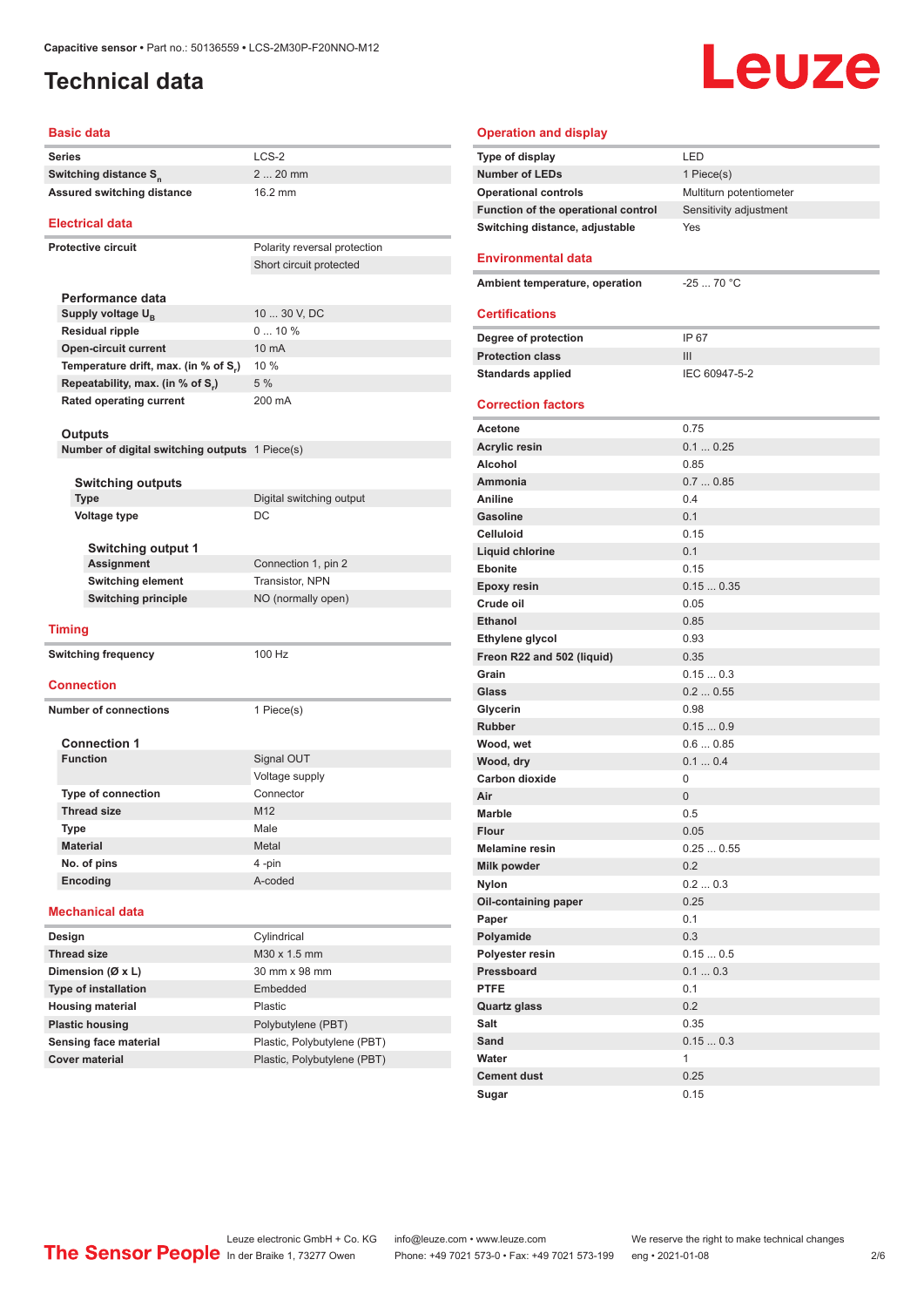#### <span id="page-1-0"></span>**Technical data**

#### **Basic data**

| Series                                                    | LCS-2                        |  |  |
|-----------------------------------------------------------|------------------------------|--|--|
| Switching distance S <sub>n</sub>                         | 2  20 mm                     |  |  |
| Assured switching distance                                | 16.2 mm                      |  |  |
|                                                           |                              |  |  |
| <b>Electrical data</b>                                    |                              |  |  |
| <b>Protective circuit</b>                                 | Polarity reversal protection |  |  |
|                                                           | Short circuit protected      |  |  |
|                                                           |                              |  |  |
| Performance data                                          |                              |  |  |
| Supply voltage $U_{B}$                                    | 10  30 V, DC                 |  |  |
| <b>Residual ripple</b>                                    | $010\%$                      |  |  |
| Open-circuit current                                      | 10 mA                        |  |  |
| Temperature drift, max. (in % of S.)                      | 10 %                         |  |  |
| Repeatability, max. (in % of S.)                          | 5 %                          |  |  |
| Rated operating current                                   | 200 mA                       |  |  |
|                                                           |                              |  |  |
| Outputs<br>Number of digital switching outputs 1 Piece(s) |                              |  |  |
|                                                           |                              |  |  |
| <b>Switching outputs</b>                                  |                              |  |  |
| <b>Type</b>                                               | Digital switching output     |  |  |
| <b>Voltage type</b>                                       | DC                           |  |  |
|                                                           |                              |  |  |
| <b>Switching output 1</b>                                 |                              |  |  |
| <b>Assignment</b>                                         | Connection 1, pin 2          |  |  |
| <b>Switching element</b>                                  | Transistor, NPN              |  |  |
| <b>Switching principle</b>                                | NO (normally open)           |  |  |
|                                                           |                              |  |  |
| <b>Timing</b>                                             |                              |  |  |
| <b>Switching frequency</b>                                | 100 Hz                       |  |  |
|                                                           |                              |  |  |
| <b>Connection</b>                                         |                              |  |  |
| <b>Number of connections</b>                              | 1 Piece(s)                   |  |  |
|                                                           |                              |  |  |
| <b>Connection 1</b>                                       |                              |  |  |
| <b>Function</b>                                           | Signal OUT                   |  |  |
|                                                           | Voltage supply               |  |  |
| <b>Type of connection</b>                                 | Connector                    |  |  |
| <b>Thread size</b>                                        | M12                          |  |  |
| Type                                                      | Male                         |  |  |
| <b>Material</b>                                           | Metal                        |  |  |
| No. of pins                                               | 4-pin                        |  |  |
| Encoding                                                  | A-coded                      |  |  |
| <b>Mechanical data</b>                                    |                              |  |  |
|                                                           |                              |  |  |
| Design                                                    | Cylindrical                  |  |  |
| <b>Thread size</b>                                        | M30 x 1.5 mm                 |  |  |
| Dimension (Ø x L)                                         | 30 mm x 98 mm                |  |  |
| <b>Type of installation</b>                               | Embedded                     |  |  |
| <b>Housing material</b>                                   | Plastic                      |  |  |
| <b>Plastic housing</b>                                    | Polybutylene (PBT)           |  |  |
| Sensing face material                                     | Plastic, Polybutylene (PBT)  |  |  |

#### **Operation and display Type of display** LED **Number of LEDs** 1 Piece(s) **Operational controls** Multiturn potentiometer Function of the operational control Sensitivity adjustment **Switching distance, adjustable** Yes **Environmental data Ambient temperature, operation** -25 ... 70 °C **Certifications Degree of protection** IP 67 **Protection class** III **Standards applied IEC 60947-5-2 Correction factors Acetone** 0.75 **Acrylic resin** 0.1 ... 0.25 **Alcohol** 0.85 **Ammonia** 0.7 ... 0.85 **Aniline** 0.4 **Gasoline** 0.1 **Celluloid** 0.15 **Liquid chlorine** 0.1 **Ebonite** 0.15 **Epoxy resin** 0.15 ... 0.35 **Crude oil** 0.05 **Ethanol** 0.85 **Ethylene glycol** 0.93 **Freon R22 and 502 (liquid)** 0.35 **Grain** 0.15 ... 0.3 **Glass** 0.2 ... 0.55 **Glycerin** 0.98 **Rubber** 0.15 ... 0.9 **Wood, wet** 0.6 ... 0.85 **Wood, dry 1.1 ... 0.4 Carbon dioxide** 0 **Air** 0 **Marble** 0.5 **Flour** 0.05 **Melamine resin** 0.25 ... 0.55 **Milk powder** 0.2 **Nylon** 0.2 ... 0.3 **Oil-containing paper** 0.25 **Paper** 0.1 **Polyamide** 0.3 **Polyester resin** 0.15 ... 0.5 **Pressboard** 0.1 ... 0.3 **PTFE** 0.1 **Quartz glass** 0.2 **Salt** 0.35 **Sand** 0.15 ... 0.3 **Water** 1 **Cement dust** 0.25 **Sugar** 0.15

Leuze

Leuze electronic GmbH + Co. KG info@leuze.com • www.leuze.com We reserve the right to make technical changes<br>
The Sensor People in der Braike 1, 73277 Owen Phone: +49 7021 573-0 • Fax: +49 7021 573-199 eng • 2021-01-08

**Cover material** Plastic, Polybutylene (PBT)

Phone: +49 7021 573-0 • Fax: +49 7021 573-199 eng • 2021-01-08 2 2 /6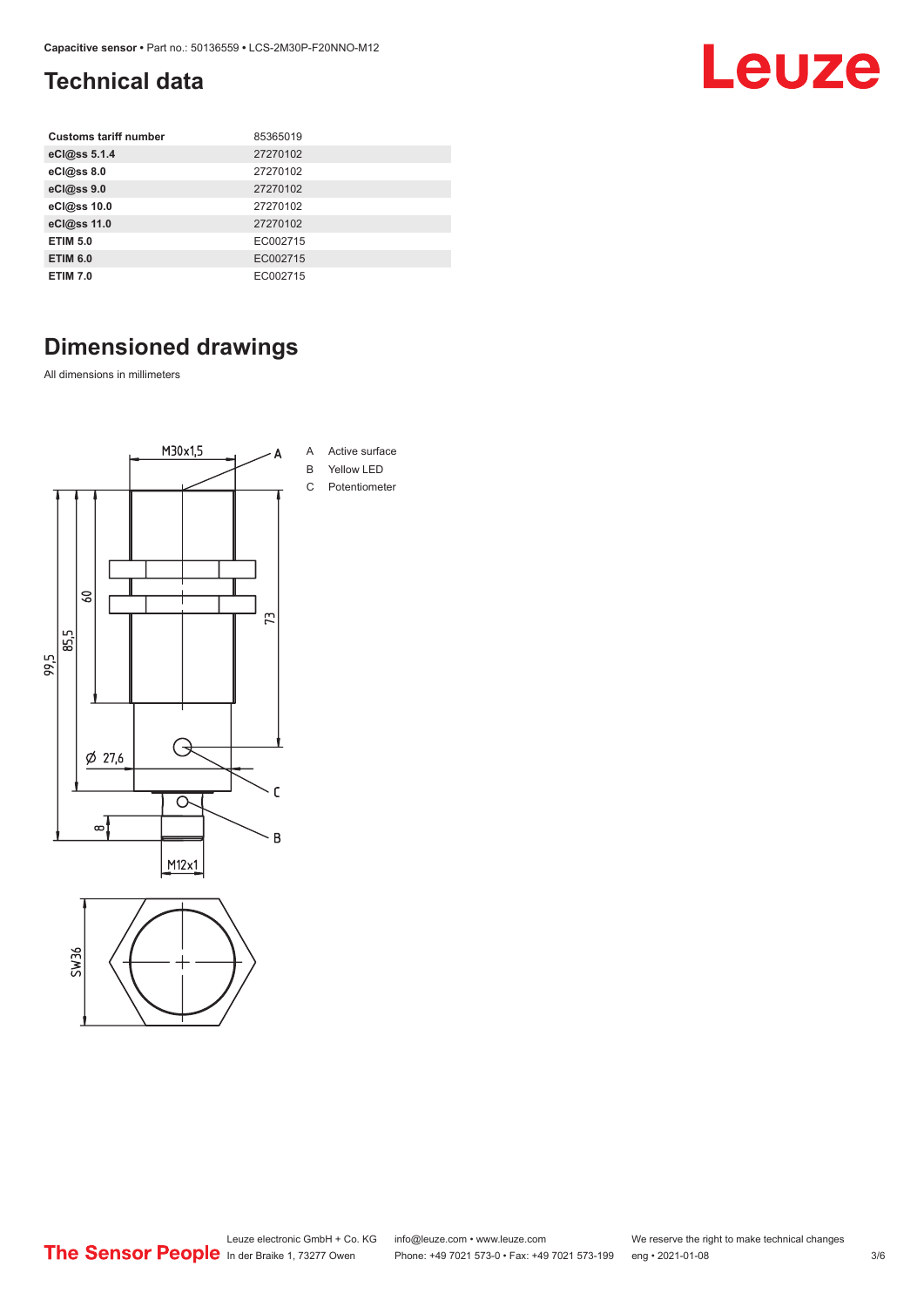### <span id="page-2-0"></span>**Technical data**

| <b>Customs tariff number</b> | 85365019 |
|------------------------------|----------|
| eCl@ss 5.1.4                 | 27270102 |
| eCl@ss 8.0                   | 27270102 |
| eCl@ss 9.0                   | 27270102 |
| eCl@ss 10.0                  | 27270102 |
| eCl@ss 11.0                  | 27270102 |
| <b>ETIM 5.0</b>              | EC002715 |
| <b>ETIM 6.0</b>              | EC002715 |
| <b>ETIM 7.0</b>              | EC002715 |

## **Dimensioned drawings**

All dimensions in millimeters





Leuze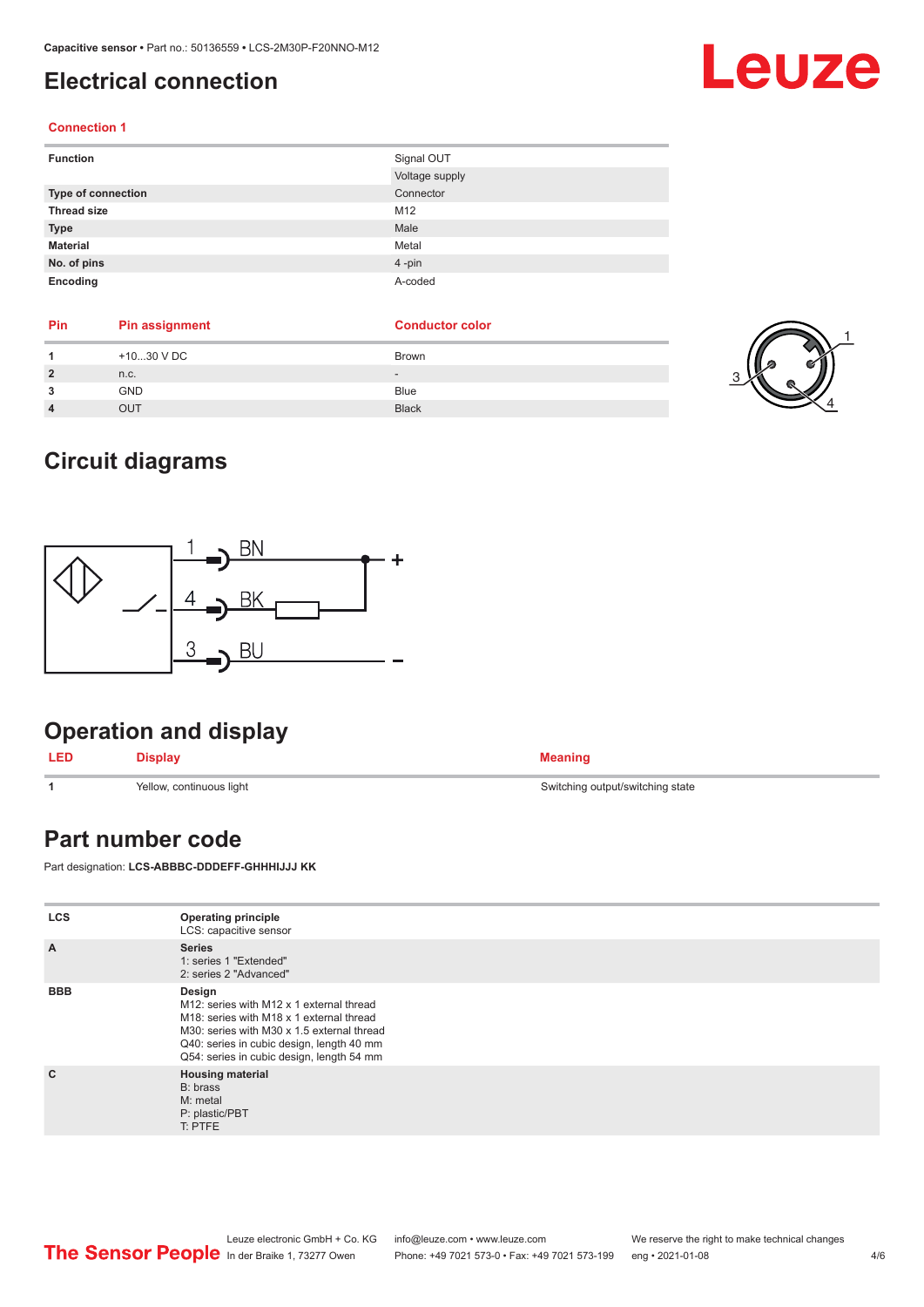#### <span id="page-3-0"></span>**Electrical connection**

#### **Connection 1**

| <b>Function</b>    | Signal OUT     |
|--------------------|----------------|
|                    | Voltage supply |
| Type of connection | Connector      |
| <b>Thread size</b> | M12            |
| <b>Type</b>        | Male           |
| <b>Material</b>    | Metal          |
| No. of pins        | 4-pin          |
| Encoding           | A-coded        |

| <b>Pin</b>     | <b>Pin assignment</b> | <b>Conductor color</b>   |
|----------------|-----------------------|--------------------------|
|                | $+1030$ V DC          | Brown                    |
| $\overline{2}$ | n.c.                  | $\overline{\phantom{a}}$ |
| 3              | <b>GND</b>            | <b>Blue</b>              |
|                | OUT                   | <b>Black</b>             |



Leuze

#### **Circuit diagrams**



#### **Operation and display**

| <b>LED</b> | <b>Display</b> | <b>Meaning</b> |
|------------|----------------|----------------|
|------------|----------------|----------------|

**Part number code**

Part designation: **LCS-ABBBC-DDDEFF-GHHHIJJJ KK**

| <b>LCS</b>     | <b>Operating principle</b><br>LCS: capacitive sensor                                                                                                                                                                                   |
|----------------|----------------------------------------------------------------------------------------------------------------------------------------------------------------------------------------------------------------------------------------|
| $\overline{A}$ | <b>Series</b><br>1: series 1 "Extended"<br>2: series 2 "Advanced"                                                                                                                                                                      |
| <b>BBB</b>     | Design<br>M12: series with M12 x 1 external thread<br>M18: series with M18 x 1 external thread<br>M30: series with M30 x 1.5 external thread<br>Q40: series in cubic design, length 40 mm<br>Q54: series in cubic design, length 54 mm |
| $\mathbf{C}$   | <b>Housing material</b><br>B: brass<br>M: metal<br>P: plastic/PBT<br>T: PTFE                                                                                                                                                           |



**1 1** Switching output/switching state Switching Switching Switching state Switching state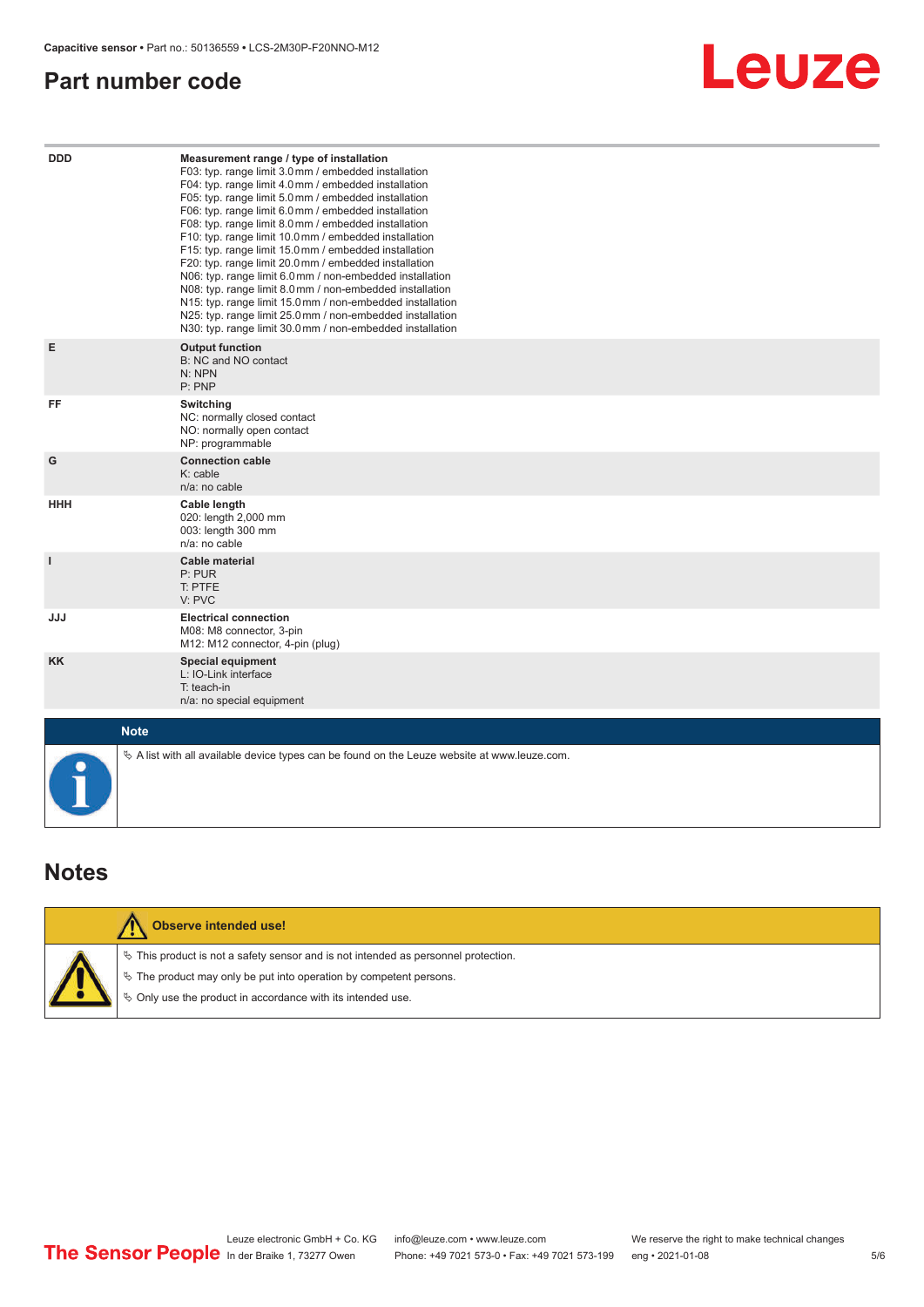#### <span id="page-4-0"></span>**Part number code**



| <b>DDD</b>   | Measurement range / type of installation<br>F03: typ. range limit 3.0 mm / embedded installation<br>F04: typ. range limit 4.0 mm / embedded installation<br>F05: typ. range limit 5.0 mm / embedded installation<br>F06: typ. range limit 6.0 mm / embedded installation<br>F08: typ. range limit 8.0 mm / embedded installation<br>F10: typ. range limit 10.0 mm / embedded installation<br>F15: typ. range limit 15.0 mm / embedded installation<br>F20: typ. range limit 20.0 mm / embedded installation<br>N06: typ. range limit 6.0 mm / non-embedded installation<br>N08: typ. range limit 8.0 mm / non-embedded installation<br>N15: typ. range limit 15.0 mm / non-embedded installation<br>N25: typ. range limit 25.0 mm / non-embedded installation<br>N30: typ. range limit 30.0mm / non-embedded installation |  |  |
|--------------|---------------------------------------------------------------------------------------------------------------------------------------------------------------------------------------------------------------------------------------------------------------------------------------------------------------------------------------------------------------------------------------------------------------------------------------------------------------------------------------------------------------------------------------------------------------------------------------------------------------------------------------------------------------------------------------------------------------------------------------------------------------------------------------------------------------------------|--|--|
| E            | <b>Output function</b><br>B: NC and NO contact<br>N: NPN<br>P: PNP                                                                                                                                                                                                                                                                                                                                                                                                                                                                                                                                                                                                                                                                                                                                                        |  |  |
| FF           | Switching<br>NC: normally closed contact<br>NO: normally open contact<br>NP: programmable                                                                                                                                                                                                                                                                                                                                                                                                                                                                                                                                                                                                                                                                                                                                 |  |  |
| G            | <b>Connection cable</b><br>$K:$ cable<br>n/a: no cable                                                                                                                                                                                                                                                                                                                                                                                                                                                                                                                                                                                                                                                                                                                                                                    |  |  |
| <b>HHH</b>   | Cable length<br>020: length 2,000 mm<br>003: length 300 mm<br>n/a: no cable                                                                                                                                                                                                                                                                                                                                                                                                                                                                                                                                                                                                                                                                                                                                               |  |  |
| $\mathbf{I}$ | Cable material<br>P: PUR<br>T: PTFE<br>V: PVC                                                                                                                                                                                                                                                                                                                                                                                                                                                                                                                                                                                                                                                                                                                                                                             |  |  |
| <b>JJJ</b>   | <b>Electrical connection</b><br>M08: M8 connector, 3-pin<br>M12: M12 connector, 4-pin (plug)                                                                                                                                                                                                                                                                                                                                                                                                                                                                                                                                                                                                                                                                                                                              |  |  |
| <b>KK</b>    | <b>Special equipment</b><br>L: IO-Link interface<br>T: teach-in<br>n/a: no special equipment                                                                                                                                                                                                                                                                                                                                                                                                                                                                                                                                                                                                                                                                                                                              |  |  |
| <b>Note</b>  |                                                                                                                                                                                                                                                                                                                                                                                                                                                                                                                                                                                                                                                                                                                                                                                                                           |  |  |
|              | $\&$ A list with all available device types can be found on the Leuze website at www.leuze.com.                                                                                                                                                                                                                                                                                                                                                                                                                                                                                                                                                                                                                                                                                                                           |  |  |

#### **Notes**

|  | Observe intended use!                                                                 |
|--|---------------------------------------------------------------------------------------|
|  | $\%$ This product is not a safety sensor and is not intended as personnel protection. |
|  | $\&$ The product may only be put into operation by competent persons.                 |
|  | $\&$ Only use the product in accordance with its intended use.                        |